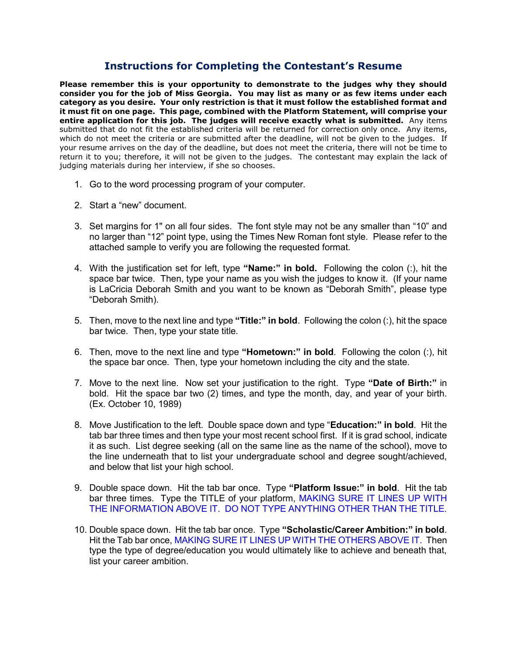# **Instructions for Completing the Contestant's Resume**

**Please remember this is your opportunity to demonstrate to the judges why they should consider you for the job of Miss Georgia. You may list as many or as few items under each category as you desire. Your only restriction is that it must follow the established format and it must fit on one page. This page, combined with the Platform Statement, will comprise your entire application for this job. The judges will receive exactly what is submitted.** Any items submitted that do not fit the established criteria will be returned for correction only once. Any items, which do not meet the criteria or are submitted after the deadline, will not be given to the judges. If your resume arrives on the day of the deadline, but does not meet the criteria, there will not be time to return it to you; therefore, it will not be given to the judges. The contestant may explain the lack of judging materials during her interview, if she so chooses.

- 1. Go to the word processing program of your computer.
- 2. Start a "new" document.
- 3. Set margins for 1" on all four sides. The font style may not be any smaller than "10" and no larger than "12" point type, using the Times New Roman font style. Please refer to the attached sample to verify you are following the requested format.
- 4. With the justification set for left, type **"Name:" in bold.** Following the colon (:), hit the space bar twice. Then, type your name as you wish the judges to know it. (If your name is LaCricia Deborah Smith and you want to be known as "Deborah Smith", please type "Deborah Smith).
- 5. Then, move to the next line and type **"Title:" in bold**. Following the colon (:), hit the space bar twice. Then, type your state title.
- 6. Then, move to the next line and type **"Hometown:" in bold**. Following the colon (:), hit the space bar once. Then, type your hometown including the city and the state.
- 7. Move to the next line. Now set your justification to the right. Type **"Date of Birth:"** in bold. Hit the space bar two (2) times, and type the month, day, and year of your birth. (Ex. October 10, 1989)
- 8. Move Justification to the left. Double space down and type "**Education:" in bold**. Hit the tab bar three times and then type your most recent school first. If it is grad school, indicate it as such. List degree seeking (all on the same line as the name of the school), move to the line underneath that to list your undergraduate school and degree sought/achieved, and below that list your high school.
- 9. Double space down. Hit the tab bar once. Type **"Platform Issue:" in bold**. Hit the tab bar three times. Type the TITLE of your platform, MAKING SURE IT LINES UP WITH THE INFORMATION ABOVE IT. DO NOT TYPE ANYTHING OTHER THAN THE TITLE.
- 10. Double space down. Hit the tab bar once. Type **"Scholastic/Career Ambition:" in bold**. Hit the Tab bar once, MAKING SURE IT LINES UP WITH THE OTHERS ABOVE IT. Then type the type of degree/education you would ultimately like to achieve and beneath that, list your career ambition.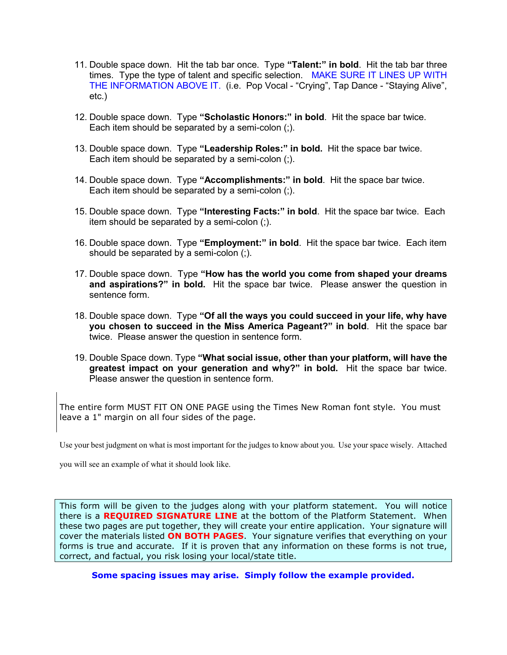- 11. Double space down. Hit the tab bar once. Type **"Talent:" in bold**. Hit the tab bar three times. Type the type of talent and specific selection. MAKE SURE IT LINES UP WITH THE INFORMATION ABOVE IT. (i.e. Pop Vocal - "Crying", Tap Dance - "Staying Alive", etc.)
- 12. Double space down. Type **"Scholastic Honors:" in bold**. Hit the space bar twice. Each item should be separated by a semi-colon (;).
- 13. Double space down. Type **"Leadership Roles:" in bold.** Hit the space bar twice. Each item should be separated by a semi-colon (;).
- 14. Double space down. Type **"Accomplishments:" in bold**. Hit the space bar twice. Each item should be separated by a semi-colon (;).
- 15. Double space down. Type **"Interesting Facts:" in bold**. Hit the space bar twice. Each item should be separated by a semi-colon (;).
- 16. Double space down. Type **"Employment:" in bold**. Hit the space bar twice. Each item should be separated by a semi-colon (;).
- 17. Double space down. Type **"How has the world you come from shaped your dreams and aspirations?" in bold.** Hit the space bar twice. Please answer the question in sentence form.
- 18. Double space down. Type **"Of all the ways you could succeed in your life, why have you chosen to succeed in the Miss America Pageant?" in bold**. Hit the space bar twice. Please answer the question in sentence form.
- 19. Double Space down. Type **"What social issue, other than your platform, will have the greatest impact on your generation and why?" in bold.** Hit the space bar twice. Please answer the question in sentence form.

The entire form MUST FIT ON ONE PAGE using the Times New Roman font style. You must leave a 1" margin on all four sides of the page.

Use your best judgment on what is most important for the judges to know about you. Use your space wisely. Attached

you will see an example of what it should look like.

This form will be given to the judges along with your platform statement. You will notice there is a **REQUIRED SIGNATURE LINE** at the bottom of the Platform Statement. When these two pages are put together, they will create your entire application. Your signature will cover the materials listed **ON BOTH PAGES**. Your signature verifies that everything on your forms is true and accurate. If it is proven that any information on these forms is not true, correct, and factual, you risk losing your local/state title.

**Some spacing issues may arise. Simply follow the example provided.**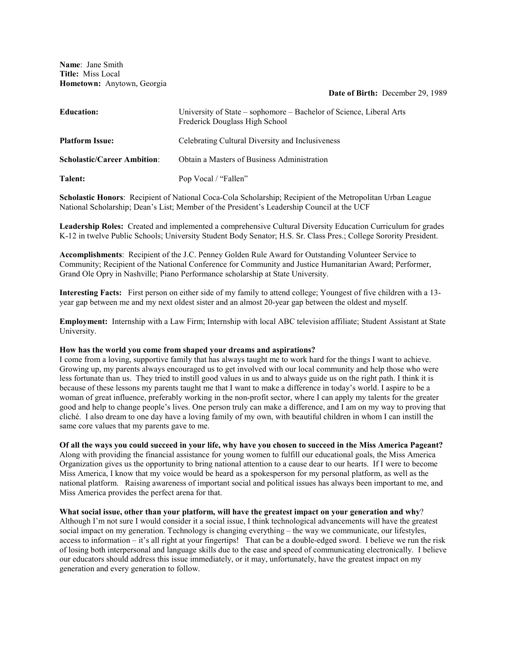**Name**: Jane Smith **Title:** Miss Local **Hometown:** Anytown, Georgia

#### **Date of Birth:** December 29, 1989

| <b>Education:</b>                  | University of State – sophomore – Bachelor of Science, Liberal Arts<br>Frederick Douglass High School |
|------------------------------------|-------------------------------------------------------------------------------------------------------|
| <b>Platform Issue:</b>             | Celebrating Cultural Diversity and Inclusiveness                                                      |
| <b>Scholastic/Career Ambition:</b> | Obtain a Masters of Business Administration                                                           |
| Talent:                            | Pop Vocal / "Fallen"                                                                                  |

**Scholastic Honors**: Recipient of National Coca-Cola Scholarship; Recipient of the Metropolitan Urban League National Scholarship; Dean's List; Member of the President's Leadership Council at the UCF

**Leadership Roles:** Created and implemented a comprehensive Cultural Diversity Education Curriculum for grades K-12 in twelve Public Schools; University Student Body Senator; H.S. Sr. Class Pres.; College Sorority President.

**Accomplishments**: Recipient of the J.C. Penney Golden Rule Award for Outstanding Volunteer Service to Community; Recipient of the National Conference for Community and Justice Humanitarian Award; Performer, Grand Ole Opry in Nashville; Piano Performance scholarship at State University.

**Interesting Facts:** First person on either side of my family to attend college; Youngest of five children with a 13 year gap between me and my next oldest sister and an almost 20-year gap between the oldest and myself.

**Employment:** Internship with a Law Firm; Internship with local ABC television affiliate; Student Assistant at State University.

### **How has the world you come from shaped your dreams and aspirations?**

I come from a loving, supportive family that has always taught me to work hard for the things I want to achieve. Growing up, my parents always encouraged us to get involved with our local community and help those who were less fortunate than us. They tried to instill good values in us and to always guide us on the right path. I think it is because of these lessons my parents taught me that I want to make a difference in today's world. I aspire to be a woman of great influence, preferably working in the non-profit sector, where I can apply my talents for the greater good and help to change people's lives. One person truly can make a difference, and I am on my way to proving that cliché. I also dream to one day have a loving family of my own, with beautiful children in whom I can instill the same core values that my parents gave to me.

### **Of all the ways you could succeed in your life, why have you chosen to succeed in the Miss America Pageant?**

Along with providing the financial assistance for young women to fulfill our educational goals, the Miss America Organization gives us the opportunity to bring national attention to a cause dear to our hearts. If I were to become Miss America, I know that my voice would be heard as a spokesperson for my personal platform, as well as the national platform. Raising awareness of important social and political issues has always been important to me, and Miss America provides the perfect arena for that.

### **What social issue, other than your platform, will have the greatest impact on your generation and why**?

Although I'm not sure I would consider it a social issue, I think technological advancements will have the greatest social impact on my generation. Technology is changing everything – the way we communicate, our lifestyles, access to information – it's all right at your fingertips!That can be a double-edged sword. I believe we run the risk of losing both interpersonal and language skills due to the ease and speed of communicating electronically. I believe our educators should address this issue immediately, or it may, unfortunately, have the greatest impact on my generation and every generation to follow.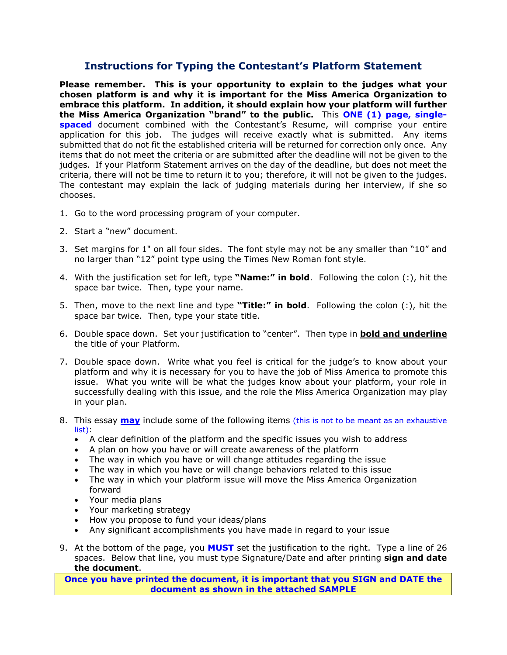# **Instructions for Typing the Contestant's Platform Statement**

**Please remember. This is your opportunity to explain to the judges what your chosen platform is and why it is important for the Miss America Organization to embrace this platform. In addition, it should explain how your platform will further the Miss America Organization "brand" to the public.** This **ONE (1) page, singlespaced** document combined with the Contestant's Resume, will comprise your entire application for this job. The judges will receive exactly what is submitted. Any items submitted that do not fit the established criteria will be returned for correction only once. Any items that do not meet the criteria or are submitted after the deadline will not be given to the judges. If your Platform Statement arrives on the day of the deadline, but does not meet the criteria, there will not be time to return it to you; therefore, it will not be given to the judges. The contestant may explain the lack of judging materials during her interview, if she so chooses.

- 1. Go to the word processing program of your computer.
- 2. Start a "new" document.
- 3. Set margins for 1" on all four sides. The font style may not be any smaller than "10" and no larger than "12" point type using the Times New Roman font style.
- 4. With the justification set for left, type **"Name:" in bold**. Following the colon (:), hit the space bar twice. Then, type your name.
- 5. Then, move to the next line and type **"Title:" in bold**. Following the colon (:), hit the space bar twice. Then, type your state title.
- 6. Double space down. Set your justification to "center". Then type in **bold and underline** the title of your Platform.
- 7. Double space down. Write what you feel is critical for the judge's to know about your platform and why it is necessary for you to have the job of Miss America to promote this issue. What you write will be what the judges know about your platform, your role in successfully dealing with this issue, and the role the Miss America Organization may play in your plan.
- 8. This essay **may** include some of the following items (this is not to be meant as an exhaustive list):
	- A clear definition of the platform and the specific issues you wish to address
	- A plan on how you have or will create awareness of the platform
	- The way in which you have or will change attitudes regarding the issue
	- The way in which you have or will change behaviors related to this issue
	- The way in which your platform issue will move the Miss America Organization forward
	- Your media plans
	- Your marketing strategy
	- How you propose to fund your ideas/plans
	- Any significant accomplishments you have made in regard to your issue
- 9. At the bottom of the page, you **MUST** set the justification to the right. Type a line of 26 spaces. Below that line, you must type Signature/Date and after printing **sign and date the document**.

**Once you have printed the document, it is important that you SIGN and DATE the document as shown in the attached SAMPLE**